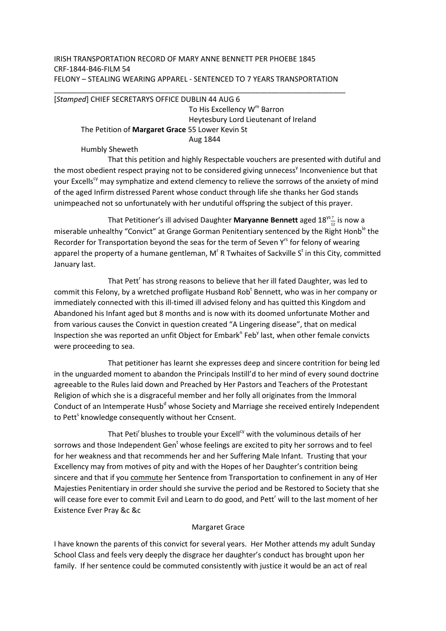## IRISH TRANSPORTATION RECORD OF MARY ANNE BENNETT PER PHOEBE 1845 CRF-1844-B46-FILM 54 FELONY – STEALING WEARING APPAREL - SENTENCED TO 7 YEARS TRANSPORTATION

## \_\_\_\_\_\_\_\_\_\_\_\_\_\_\_\_\_\_\_\_\_\_\_\_\_\_\_\_\_\_\_\_\_\_\_\_\_\_\_\_\_\_\_\_\_\_\_\_\_\_\_\_\_\_\_\_\_\_\_\_\_\_\_\_\_\_\_\_\_\_\_ [*Stamped*] CHIEF SECRETARYS OFFICE DUBLIN 44 AUG 6 To His Excellency  $\mathsf{W}^{\mathsf{m}}$  Barron Heytesbury Lord Lieutenant of Ireland The Petition of **Margaret Grace** 55 Lower Kevin St Aug 1844

Humbly Sheweth

 That this petition and highly Respectable vouchers are presented with dutiful and the most obedient respect praying not to be considered giving unnecess<sup>y</sup> Inconvenience but that your Excells<sup>cy</sup> may symphatize and extend clemency to relieve the sorrows of the anxiety of mind of the aged Infirm distressed Parent whose conduct through life she thanks her God stands unimpeached not so unfortunately with her undutiful offspring the subject of this prayer.

That Petitioner's ill advised Daughter **Maryanne Bennett** aged  $18^{\frac{957}{12}}$  is now a miserable unhealthy "Convict" at Grange Gorman Penitentiary sentenced by the Right Honb<sup>le</sup> the Recorder for Transportation beyond the seas for the term of Seven Y<sup>rs</sup> for felony of wearing apparel the property of a humane gentleman, M<sup>r</sup> R Twhaites of Sackville S<sup>t</sup> in this City, committed January last.

That Pett<sup>r</sup> has strong reasons to believe that her ill fated Daughter, was led to commit this Felony, by a wretched profligate Husband Rob<sup>t</sup> Bennett, who was in her company or immediately connected with this ill-timed ill advised felony and has quitted this Kingdom and Abandoned his Infant aged but 8 months and is now with its doomed unfortunate Mother and from various causes the Convict in question created "A Lingering disease", that on medical Inspection she was reported an unfit Object for Embark<sup>n</sup> Feb<sup>y</sup> last, when other female convicts were proceeding to sea.

 That petitioner has learnt she expresses deep and sincere contrition for being led in the unguarded moment to abandon the Principals Instill'd to her mind of every sound doctrine agreeable to the Rules laid down and Preached by Her Pastors and Teachers of the Protestant Religion of which she is a disgraceful member and her folly all originates from the Immoral Conduct of an Intemperate Husb<sup>d</sup> whose Society and Marriage she received entirely Independent to Pett<sup>s</sup> knowledge consequently without her Ccnsent.

That Peti<sup>r</sup> blushes to trouble your Excell<sup>cy</sup> with the voluminous details of her sorrows and those Independent Gen<sup>t</sup> whose feelings are excited to pity her sorrows and to feel for her weakness and that recommends her and her Suffering Male Infant. Trusting that your Excellency may from motives of pity and with the Hopes of her Daughter's contrition being sincere and that if you commute her Sentence from Transportation to confinement in any of Her Majesties Penitentiary in order should she survive the period and be Restored to Society that she will cease fore ever to commit Evil and Learn to do good, and Pett<sup>r</sup> will to the last moment of her Existence Ever Pray &c &c

## Margaret Grace

I have known the parents of this convict for several years. Her Mother attends my adult Sunday School Class and feels very deeply the disgrace her daughter's conduct has brought upon her family. If her sentence could be commuted consistently with justice it would be an act of real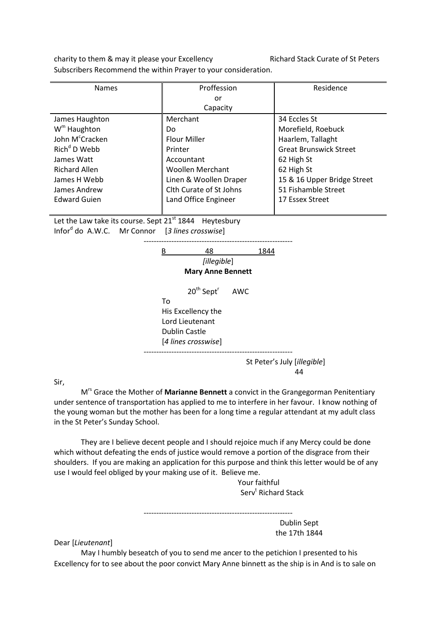charity to them & may it please your Excellency Richard Stack Curate of St Peters Subscribers Recommend the within Prayer to your consideration.

| <b>Names</b>                | Proffession             | Residence                     |
|-----------------------------|-------------------------|-------------------------------|
|                             | or                      |                               |
|                             | Capacity                |                               |
| James Haughton              | Merchant                | 34 Eccles St                  |
| $Wm$ Haughton               | Do.                     | Morefield, Roebuck            |
| John M <sup>c</sup> Cracken | <b>Flour Miller</b>     | Haarlem, Tallaght             |
| Rich <sup>d</sup> D Web     | Printer                 | <b>Great Brunswick Street</b> |
| James Watt                  | Accountant              | 62 High St                    |
| <b>Richard Allen</b>        | <b>Woollen Merchant</b> | 62 High St                    |
| James H Webb                | Linen & Woollen Draper  | 15 & 16 Upper Bridge Street   |
| James Andrew                | Clth Curate of St Johns | 51 Fishamble Street           |
| Edward Guien                | Land Office Engineer    | 17 Essex Street               |
|                             |                         |                               |

Let the Law take its course. Sept  $21^{st}$  1844 Heytesbury Infor<sup>d</sup> do A.W.C. Mr Connor [3 lines crosswise]



Sir,

 Mrs Grace the Mother of **Marianne Bennett** a convict in the Grangegorman Penitentiary under sentence of transportation has applied to me to interfere in her favour. I know nothing of the young woman but the mother has been for a long time a regular attendant at my adult class in the St Peter's Sunday School.

 They are I believe decent people and I should rejoice much if any Mercy could be done which without defeating the ends of justice would remove a portion of the disgrace from their shoulders. If you are making an application for this purpose and think this letter would be of any use I would feel obliged by your making use of it. Believe me.

> Your faithful Serv<sup>t</sup> Richard Stack

----------------------------------------------------------- Dublin Sept the 17th 1844

Dear [*Lieutenant*]

May I humbly beseatch of you to send me ancer to the petichion I presented to his Excellency for to see about the poor convict Mary Anne binnett as the ship is in And is to sale on